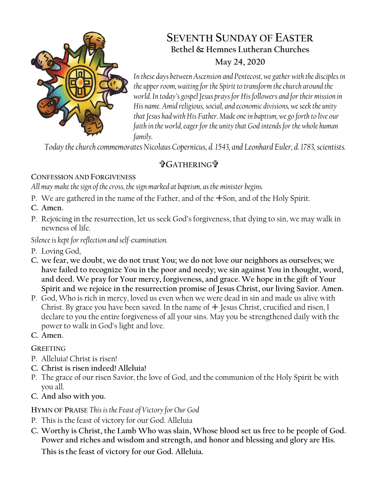

# **SEVENTH SUNDAY OF EASTER Bethel & Hemnes Lutheran Churches May 24, 2020**

*In these days between Ascension and Pentecost, we gather with the disciples in the upper room, waiting for the Spirit to transform the church around the world. In today's gospel Jesus prays for His followers and for their mission in His name. Amid religious, social, and economic divisions, we seek the unity that Jesus had with His Father. Made one in baptism, we go forth to live our faith in the world, eager for the unity that God intends for the whole human family.*

*Today the church commemorates Nicolaus Copernicus, d. 1543, and Leonhard Euler, d. 1783, scientists.*

# **GATHERING**

# **CONFESSION AND FORGIVENESS**

*All may make the sign of the cross, the sign marked at baptism, as the minister begins.*

- P. We are gathered in the name of the Father, and of the  $+$ Son, and of the Holy Spirit.
- **C. Amen.**
- P. Rejoicing in the resurrection, let us seek God's forgiveness, that dying to sin, we may walk in newness of life.

*Silence is kept for reflection and self-examination.*

- P. Loving God,
- **C. we fear, we doubt, we do not trust You; we do not love our neighbors as ourselves; we have failed to recognize You in the poor and needy; we sin against You in thought, word, and deed. We pray for Your mercy, forgiveness, and grace. We hope in the gift of Your Spirit and we rejoice in the resurrection promise of Jesus Christ, our living Savior. Amen.**
- P. God, Who is rich in mercy, loved us even when we were dead in sin and made us alive with Christ. By grace you have been saved. In the name of  $+$  Jesus Christ, crucified and risen, I declare to you the entire forgiveness of all your sins. May you be strengthened daily with the power to walk in God's light and love.
- **C. Amen.**

# **GREETING**

- P. Alleluia! Christ is risen!
- **C. Christ is risen indeed! Alleluia!**
- P. The grace of our risen Savior, the love of God, and the communion of the Holy Spirit be with you all.
- **C. And also with you.**

**HYMN OF PRAISE** *This is the Feast of Victory for Our God*

- P. This is the feast of victory for our God. Alleluia
- **C. Worthy is Christ, the Lamb Who was slain, Whose blood set us free to be people of God. Power and riches and wisdom and strength, and honor and blessing and glory are His.**

**This is the feast of victory for our God. Alleluia.**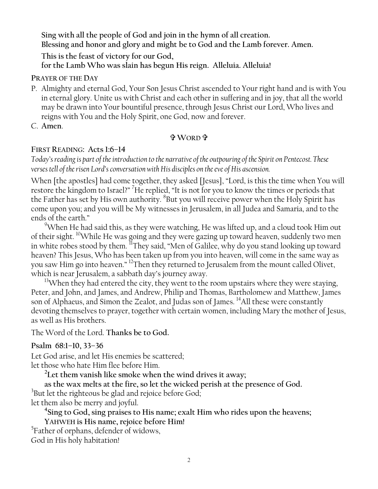**Sing with all the people of God and join in the hymn of all creation. Blessing and honor and glory and might be to God and the Lamb forever. Amen.** 

**This is the feast of victory for our God,**

**for the Lamb Who was slain has begun His reign. Alleluia. Alleluia!**

**PRAYER OF THE DAY**

- P. Almighty and eternal God, Your Son Jesus Christ ascended to Your right hand and is with You in eternal glory. Unite us with Christ and each other in suffering and in joy, that all the world may be drawn into Your bountiful presence, through Jesus Christ our Lord, Who lives and reigns with You and the Holy Spirit, one God, now and forever.
- C. **Amen**.

### **WORD**

# **FIRST READING: Acts 1:6–14**

*Today's reading is part of the introduction to the narrative of the outpouring of the Spirit on Pentecost. These verses tell of the risen Lord's conversation with His disciples on the eve of His ascension.*

When [the apostles] had come together, they asked [Jesus], "Lord, is this the time when You will restore the kingdom to Israel?" <sup>7</sup>He replied, "It is not for you to know the times or periods that the Father has set by His own authority. <sup>8</sup>But you will receive power when the Holy Spirit has come upon you; and you will be My witnesses in Jerusalem, in all Judea and Samaria, and to the ends of the earth."

<sup>9</sup>When He had said this, as they were watching, He was lifted up, and a cloud took Him out of their sight. <sup>10</sup>While He was going and they were gazing up toward heaven, suddenly two men in white robes stood by them.  ${}^{11}$ They said, "Men of Galilee, why do you stand looking up toward heaven? This Jesus, Who has been taken up from you into heaven, will come in the same way as you saw Him go into heaven." <sup>12</sup>Then they returned to Jerusalem from the mount called Olivet, which is near Jerusalem, a sabbath day's journey away.

 $13$ When they had entered the city, they went to the room upstairs where they were staying, Peter, and John, and James, and Andrew, Philip and Thomas, Bartholomew and Matthew, James son of Alphaeus, and Simon the Zealot, and Judas son of James. <sup>14</sup>All these were constantly devoting themselves to prayer, together with certain women, including Mary the mother of Jesus, as well as His brothers.

The Word of the Lord. **Thanks be to God.**

# **Psalm 68:1–10, 33–36**

Let God arise, and let His enemies be scattered;

let those who hate Him flee before Him.

**2 Let them vanish like smoke when the wind drives it away;**

**as the wax melts at the fire, so let the wicked perish at the presence of God.** 

 $^3$ But let the righteous be glad and rejoice before God;

let them also be merry and joyful.

**4 Sing to God, sing praises to His name; exalt Him who rides upon the heavens;**

**YAHWEH is His name, rejoice before Him!** 

<sup>5</sup>Father of orphans, defender of widows,

God in His holy habitation!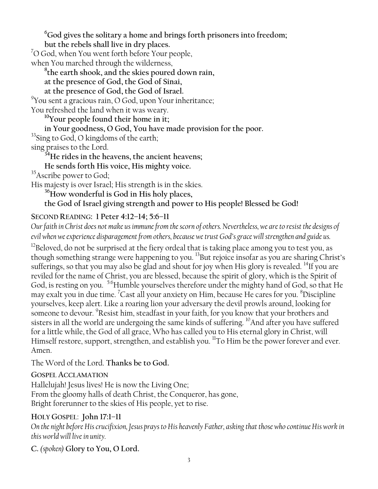**<sup>6</sup>God gives the solitary a home and brings forth prisoners into freedom;**

**but the rebels shall live in dry places.**

 $7$ O God, when You went forth before Your people,

when You marched through the wilderness,

**8 the earth shook, and the skies poured down rain,**

**at the presence of God, the God of Sinai,**

**at the presence of God, the God of Israel.**

9 You sent a gracious rain, O God, upon Your inheritance;

You refreshed the land when it was weary.

**<sup>10</sup>Your people found their home in it;**

**in Your goodness, O God, You have made provision for the poor.** 

<sup>33</sup>Sing to God, O kingdoms of the earth;

sing praises to the Lord.

**<sup>34</sup>He rides in the heavens, the ancient heavens;**

**He sends forth His voice, His mighty voice.**

<sup>35</sup> Ascribe power to God;

His majesty is over Israel; His strength is in the skies.

**<sup>36</sup>How wonderful is God in His holy places,**

**the God of Israel giving strength and power to His people! Blessed be God!**

# **SECOND READING: 1 Peter 4:12–14; 5:6–11**

*Our faith in Christ does not make us immune from the scorn of others. Nevertheless, we are to resist the designs of evil when we experience disparagement from others, because we trust God's grace will strengthen and guide us.*

 $12$ Beloved, do not be surprised at the fiery ordeal that is taking place among you to test you, as though something strange were happening to you. <sup>13</sup>But rejoice insofar as you are sharing Christ's sufferings, so that you may also be glad and shout for joy when His glory is revealed. <sup>14</sup>If you are reviled for the name of Christ, you are blessed, because the spirit of glory, which is the Spirit of God, is resting on you. <sup>5:6</sup>Humble yourselves therefore under the mighty hand of God, so that He may exalt you in due time. <sup>7</sup>Cast all your anxiety on Him, because He cares for you. <sup>8</sup>Discipline yourselves, keep alert. Like a roaring lion your adversary the devil prowls around, looking for someone to devour. <sup>9</sup>Resist him, steadfast in your faith, for you know that your brothers and sisters in all the world are undergoing the same kinds of suffering. <sup>10</sup>And after you have suffered for a little while, the God of all grace, Who has called you to His eternal glory in Christ, will Himself restore, support, strengthen, and establish you. <sup>11</sup>To Him be the power forever and ever. Amen.

The Word of the Lord. **Thanks be to God.**

# **GOSPEL ACCLAMATION**

Hallelujah! Jesus lives! He is now the Living One; From the gloomy halls of death Christ, the Conqueror, has gone, Bright forerunner to the skies of His people, yet to rise.

# **HOLY GOSPEL**: **John 17:1–11**

*On the night before His crucifixion, Jesus prays to His heavenly Father, asking that those who continue His work in this world will live in unity.*

# **C.** *(spoken)* **Glory to You, O Lord.**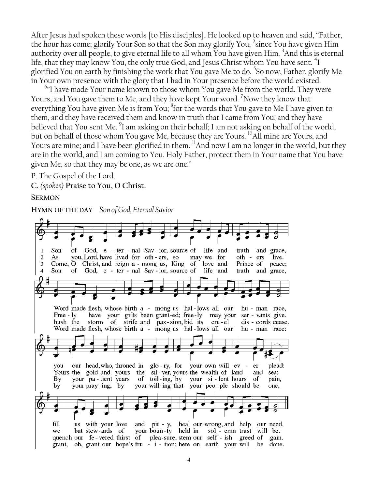After Jesus had spoken these words [to His disciples], He looked up to heaven and said, "Father, the hour has come; glorify Your Son so that the Son may glorify You, 2 since You have given Him authority over all people, to give eternal life to all whom You have given Him. <sup>3</sup>And this is eternal life, that they may know You, the only true God, and Jesus Christ whom You have sent. <sup>4</sup>I glorified You on earth by finishing the work that You gave Me to do. <sup>5</sup>So now, Father, glorify Me in Your own presence with the glory that I had in Your presence before the world existed.

<sup>6</sup>"I have made Your name known to those whom You gave Me from the world. They were Yours, and You gave them to Me, and they have kept Your word. <sup>7</sup>Now they know that everything You have given Me is from You; <sup>8</sup>for the words that You gave to Me I have given to them, and they have received them and know in truth that I came from You; and they have believed that You sent Me. <sup>9</sup>I am asking on their behalf; I am not asking on behalf of the world, but on behalf of those whom You gave Me, because they are Yours.  $\rm ^{10}$ All mine are Yours, and Yours are mine; and I have been glorified in them. <sup>11</sup>And now I am no longer in the world, but they are in the world, and I am coming to You. Holy Father, protect them in Your name that You have given Me, so that they may be one, as we are one."

P. The Gospel of the Lord.

**C.** *(spoken)* **Praise to You, O Christ.**

#### **SERMON**

**HYMN OF THE DAY** *Son of God, Eternal Savior*

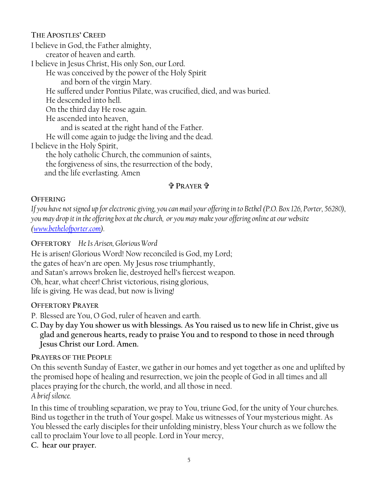**THE APOSTLES' CREED** I believe in God, the Father almighty, creator of heaven and earth. I believe in Jesus Christ, His only Son, our Lord. He was conceived by the power of the Holy Spirit and born of the virgin Mary. He suffered under Pontius Pilate, was crucified, died, and was buried. He descended into hell. On the third day He rose again. He ascended into heaven, and is seated at the right hand of the Father. He will come again to judge the living and the dead. I believe in the Holy Spirit, the holy catholic Church, the communion of saints, the forgiveness of sins, the resurrection of the body, and the life everlasting. Amen

#### **PRAYER**

#### **OFFERING**

*If you have not signed up for electronic giving, you can mail your offering in to Bethel (P.O. Box 126, Porter, 56280), you may drop it in the offering box at the church, or you may make your offering online at our website [\(www.bethelofporter.com\)](http://www.bethelofporter.com/).* 

#### **OFFERTORY** *He Is Arisen, Glorious Word*

He is arisen! Glorious Word! Now reconciled is God, my Lord; the gates of heav'n are open. My Jesus rose triumphantly, and Satan's arrows broken lie, destroyed hell's fiercest weapon. Oh, hear, what cheer! Christ victorious, rising glorious, life is giving. He was dead, but now is living!

#### **OFFERTORY PRAYER**

P. Blessed are You, O God, ruler of heaven and earth.

**C. Day by day You shower us with blessings. As You raised us to new life in Christ, give us glad and generous hearts, ready to praise You and to respond to those in need through Jesus Christ our Lord. Amen.**

### **PRAYERS OF THE PEOPLE**

On this seventh Sunday of Easter, we gather in our homes and yet together as one and uplifted by the promised hope of healing and resurrection, we join the people of God in all times and all places praying for the church, the world, and all those in need. *A brief silence.*

In this time of troubling separation, we pray to You, triune God, for the unity of Your churches. Bind us together in the truth of Your gospel. Make us witnesses of Your mysterious might. As You blessed the early disciples for their unfolding ministry, bless Your church as we follow the call to proclaim Your love to all people. Lord in Your mercy,

**C. hear our prayer.**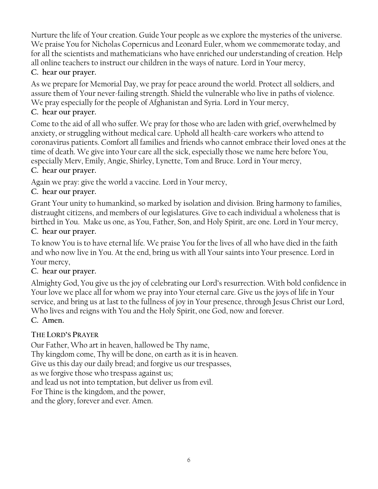Nurture the life of Your creation. Guide Your people as we explore the mysteries of the universe. We praise You for Nicholas Copernicus and Leonard Euler, whom we commemorate today, and for all the scientists and mathematicians who have enriched our understanding of creation. Help all online teachers to instruct our children in the ways of nature. Lord in Your mercy,

# **C. hear our prayer.**

As we prepare for Memorial Day, we pray for peace around the world. Protect all soldiers, and assure them of Your never-failing strength. Shield the vulnerable who live in paths of violence. We pray especially for the people of Afghanistan and Syria. Lord in Your mercy,

# **C. hear our prayer.**

Come to the aid of all who suffer. We pray for those who are laden with grief, overwhelmed by anxiety, or struggling without medical care. Uphold all health-care workers who attend to coronavirus patients. Comfort all families and friends who cannot embrace their loved ones at the time of death. We give into Your care all the sick, especially those we name here before You, especially Merv, Emily, Angie, Shirley, Lynette, Tom and Bruce. Lord in Your mercy,

# **C. hear our prayer.**

Again we pray: give the world a vaccine. Lord in Your mercy,

# **C. hear our prayer.**

Grant Your unity to humankind, so marked by isolation and division. Bring harmony to families, distraught citizens, and members of our legislatures. Give to each individual a wholeness that is birthed in You. Make us one, as You, Father, Son, and Holy Spirit, are one. Lord in Your mercy, **C. hear our prayer.**

To know You is to have eternal life. We praise You for the lives of all who have died in the faith and who now live in You. At the end, bring us with all Your saints into Your presence. Lord in Your mercy,

# **C. hear our prayer.**

Almighty God, You give us the joy of celebrating our Lord's resurrection. With bold confidence in Your love we place all for whom we pray into Your eternal care. Give us the joys of life in Your service, and bring us at last to the fullness of joy in Your presence, through Jesus Christ our Lord, Who lives and reigns with You and the Holy Spirit, one God, now and forever. **C. Amen.**

# **THE LORD'S PRAYER**

Our Father, Who art in heaven, hallowed be Thy name, Thy kingdom come, Thy will be done, on earth as it is in heaven. Give us this day our daily bread; and forgive us our trespasses, as we forgive those who trespass against us; and lead us not into temptation, but deliver us from evil. For Thine is the kingdom, and the power, and the glory, forever and ever. Amen.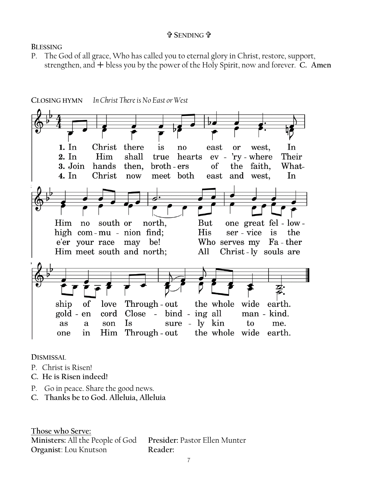#### **SENDING**

**BLESSING**

P. The God of all grace, Who has called you to eternal glory in Christ, restore, support, strengthen, and  $+$  bless you by the power of the Holy Spirit, now and forever. **C.** Amen



**In Christ There is No East or West** CI OSING HYMN

**DISMISSAL** 

- P. Christ is Risen!
- **C. He is Risen indeed!**
- P. Go in peace. Share the good news.
- **C. Thanks be to God. Alleluia, Alleluia**

**Those who Serve: Ministers:** All the People of God **Presider:** Pastor Ellen Munter **Organist**: Lou Knutson **Reader:**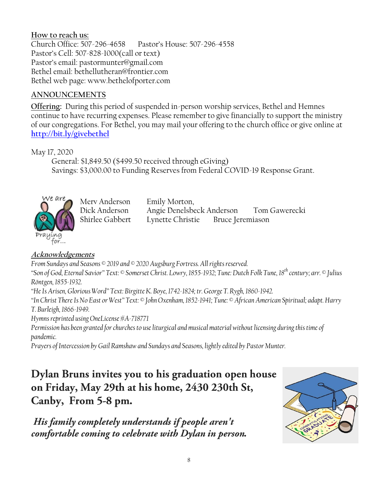### **How to reach us:**

Church Office: 507-296-4658 Pastor's House: 507-296-4558 Pastor's Cell: 507-828-1000(call or text) Pastor's email: pastormunter@gmail.com Bethel email: bethellutheran@frontier.com Bethel web page: www.bethelofporter.com

#### **ANNOUNCEMENTS**

**Offering:** During this period of suspended in-person worship services, Bethel and Hemnes continue to have recurring expenses. Please remember to give financially to support the ministry of our congregations. For Bethel, you may mail your offering to the church office or give online at **<http://bit.ly/givebethel>**

May 17, 2020

 General: \$1,849.50 (\$499.50 received through eGiving) Savings: \$3,000.00 to Funding Reserves from Federal COVID-19 Response Grant.



Merv Anderson Emily Morton,

Dick Anderson Angie Denelsbeck Anderson Tom Gawerecki Shirlee Gabbert Lynette Christie Bruce Jeremiason

### **Acknowledgements**

*From Sundays and Seasons © 2019 and © 2020 Augsburg Fortress. All rights reserved. "Son of God, Eternal Savior" Text: © Somerset Christ. Lowry, 1855-1932; Tune: Dutch Folk Tune, 18th century; arr. © Julius Röntgen, 1855-1932.*

*"He Is Arisen, Glorious Word" Text: Birgitte K. Boye, 1742-1824; tr. George T. Rygh, 1860-1942.*

*"In Christ There Is No East or West" Text: © John Oxenham, 1852-1941; Tune: © African American Spiritual; adapt. Harry T. Burleigh, 1866-1949.*

*Hymns reprinted using OneLicense #A-718771*

*Permission has been granted for churches to use liturgical and musical material without licensing during this time of pandemic.*

*Prayers of Intercession by Gail Ramshaw and Sundays and Seasons, lightly edited by Pastor Munter.* 

# Dylan Bruns invites you to his graduation open house on Friday, May 29th at his home, 2430 230th St, Canby, From 5-8 pm.

His family completely understands if people aren't comfortable coming to celebrate with Dylan in person.